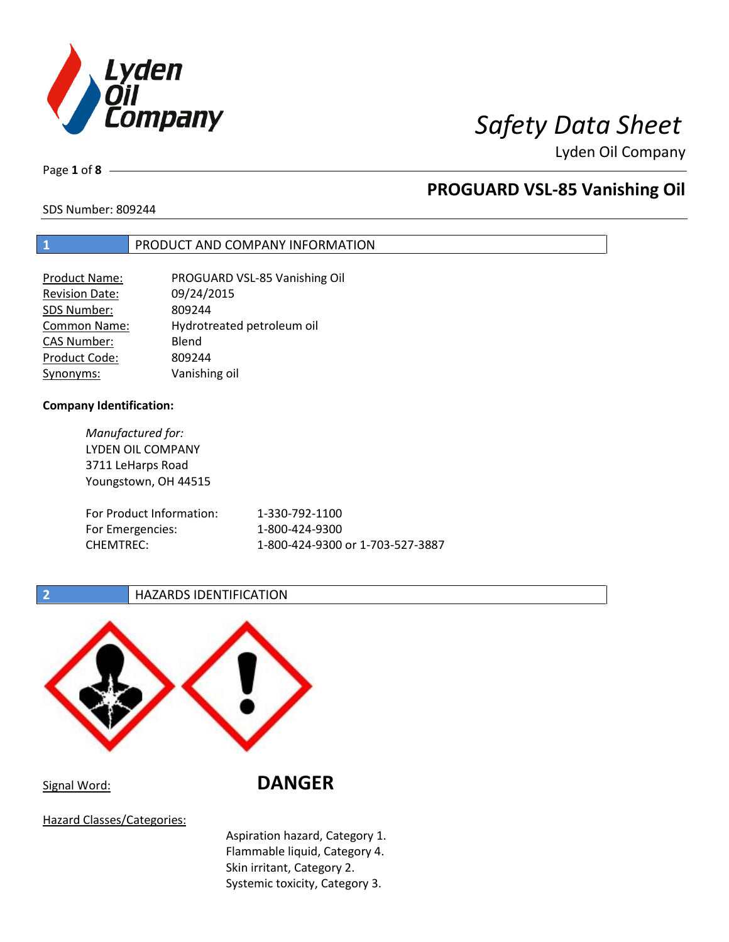

Page **1** of **8**

## **PROGUARD VSL-85 Vanishing Oil**

SDS Number: 809244

### **1** PRODUCT AND COMPANY INFORMATION

| <b>Product Name:</b>  | PROGUARD VSL-85 Vanishing Oil |
|-----------------------|-------------------------------|
| <b>Revision Date:</b> | 09/24/2015                    |
| SDS Number:           | 809244                        |
| <b>Common Name:</b>   | Hydrotreated petroleum oil    |
| <b>CAS Number:</b>    | Blend                         |
| Product Code:         | 809244                        |
| Synonyms:             | Vanishing oil                 |

### **Company Identification:**

*Manufactured for:* LYDEN OIL COMPANY 3711 LeHarps Road Youngstown, OH 44515 For Product Information: 1-330-792-1100 For Emergencies: 1-800-424-9300 CHEMTREC: 1-800-424-9300 or 1-703-527-3887

### **2 HAZARDS IDENTIFICATION**



Signal Word: **DANGER**

Hazard Classes/Categories:

Aspiration hazard, Category 1. Flammable liquid, Category 4. Skin irritant, Category 2. Systemic toxicity, Category 3.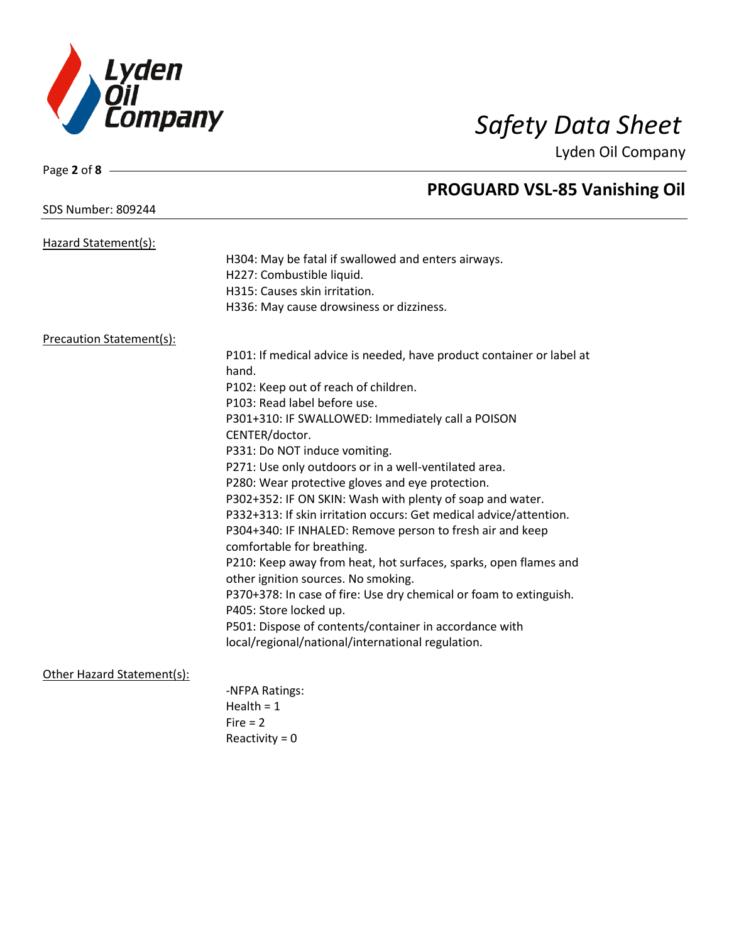

### SDS Number: 809244

Page **2** of **8**

# **PROGUARD VSL-85 Vanishing Oil**

| Hazard Statement(s):            |                                                                       |
|---------------------------------|-----------------------------------------------------------------------|
|                                 | H304: May be fatal if swallowed and enters airways.                   |
|                                 | H227: Combustible liquid.                                             |
|                                 | H315: Causes skin irritation.                                         |
|                                 | H336: May cause drowsiness or dizziness.                              |
| <b>Precaution Statement(s):</b> |                                                                       |
|                                 | P101: If medical advice is needed, have product container or label at |
|                                 | hand.                                                                 |
|                                 | P102: Keep out of reach of children.                                  |
|                                 | P103: Read label before use.                                          |
|                                 | P301+310: IF SWALLOWED: Immediately call a POISON                     |
|                                 | CENTER/doctor.                                                        |
|                                 | P331: Do NOT induce vomiting.                                         |
|                                 | P271: Use only outdoors or in a well-ventilated area.                 |
|                                 | P280: Wear protective gloves and eye protection.                      |
|                                 | P302+352: IF ON SKIN: Wash with plenty of soap and water.             |
|                                 | P332+313: If skin irritation occurs: Get medical advice/attention.    |
|                                 | P304+340: IF INHALED: Remove person to fresh air and keep             |
|                                 | comfortable for breathing.                                            |
|                                 | P210: Keep away from heat, hot surfaces, sparks, open flames and      |
|                                 | other ignition sources. No smoking.                                   |
|                                 | P370+378: In case of fire: Use dry chemical or foam to extinguish.    |
|                                 | P405: Store locked up.                                                |
|                                 | P501: Dispose of contents/container in accordance with                |
|                                 | local/regional/national/international regulation.                     |
| Other Hazard Statement(s):      |                                                                       |
|                                 | -NFPA Ratings:                                                        |
|                                 | Health = $1$                                                          |
|                                 | $Fire = 2$                                                            |
|                                 | Reactivity = $0$                                                      |
|                                 |                                                                       |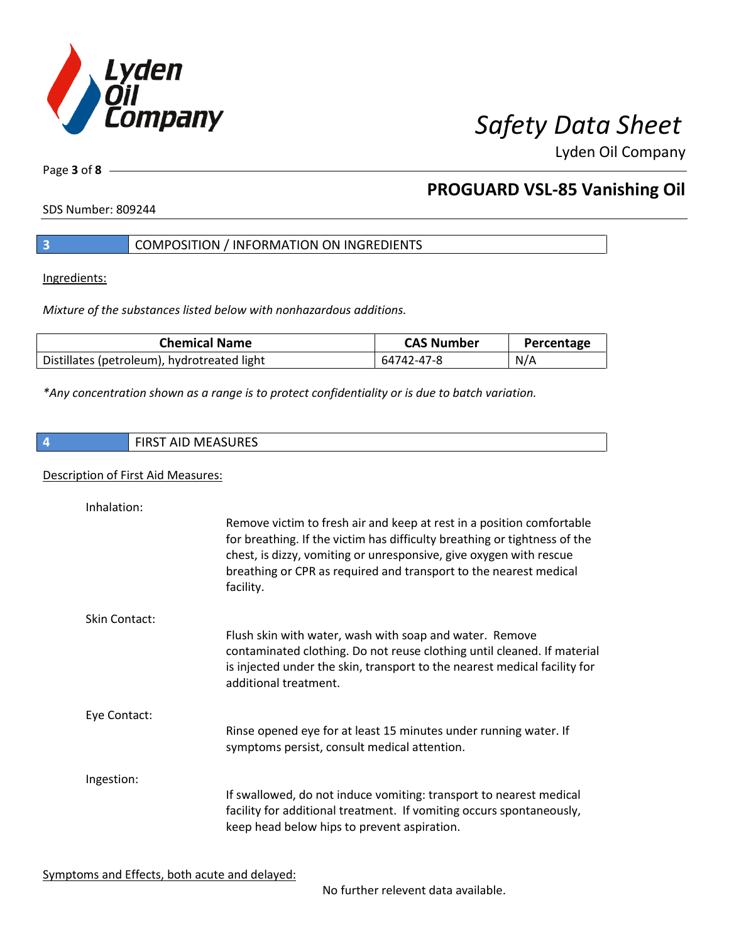

Page **3** of **8**

## **PROGUARD VSL-85 Vanishing Oil**

SDS Number: 809244

### **3** COMPOSITION / INFORMATION ON INGREDIENTS

Ingredients:

*Mixture of the substances listed below with nonhazardous additions.*

| <b>Chemical Name</b>                        | <b>CAS Number</b> | Percentage |
|---------------------------------------------|-------------------|------------|
| Distillates (petroleum), hydrotreated light | 64742-47-8        | N/A        |

*\*Any concentration shown as a range is to protect confidentiality or is due to batch variation.*

|  |  | <b>FIRST AID MEASURES</b> |
|--|--|---------------------------|
|--|--|---------------------------|

### Description of First Aid Measures:

| Inhalation:          | Remove victim to fresh air and keep at rest in a position comfortable<br>for breathing. If the victim has difficulty breathing or tightness of the<br>chest, is dizzy, vomiting or unresponsive, give oxygen with rescue<br>breathing or CPR as required and transport to the nearest medical<br>facility. |
|----------------------|------------------------------------------------------------------------------------------------------------------------------------------------------------------------------------------------------------------------------------------------------------------------------------------------------------|
| <b>Skin Contact:</b> | Flush skin with water, wash with soap and water. Remove<br>contaminated clothing. Do not reuse clothing until cleaned. If material<br>is injected under the skin, transport to the nearest medical facility for<br>additional treatment.                                                                   |
| Eye Contact:         | Rinse opened eye for at least 15 minutes under running water. If<br>symptoms persist, consult medical attention.                                                                                                                                                                                           |
| Ingestion:           | If swallowed, do not induce vomiting: transport to nearest medical<br>facility for additional treatment. If vomiting occurs spontaneously,<br>keep head below hips to prevent aspiration.                                                                                                                  |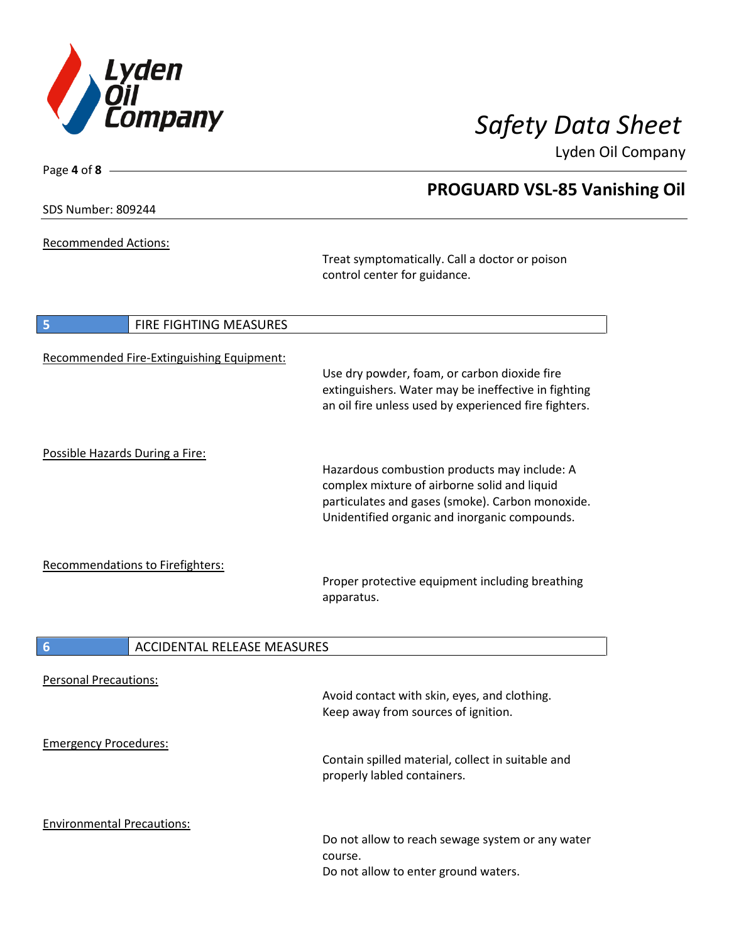

SDS Number: 809244

Page **4** of **8**

Recommended Actions:

Treat symptomatically. Call a doctor or poison control center for guidance.

| 5<br>FIRE FIGHTING MEASURES                           |                                                                                                                                                                                                   |
|-------------------------------------------------------|---------------------------------------------------------------------------------------------------------------------------------------------------------------------------------------------------|
| Recommended Fire-Extinguishing Equipment:             | Use dry powder, foam, or carbon dioxide fire<br>extinguishers. Water may be ineffective in fighting<br>an oil fire unless used by experienced fire fighters.                                      |
| Possible Hazards During a Fire:                       |                                                                                                                                                                                                   |
|                                                       | Hazardous combustion products may include: A<br>complex mixture of airborne solid and liquid<br>particulates and gases (smoke). Carbon monoxide.<br>Unidentified organic and inorganic compounds. |
| <b>Recommendations to Firefighters:</b>               |                                                                                                                                                                                                   |
|                                                       | Proper protective equipment including breathing<br>apparatus.                                                                                                                                     |
| <b>ACCIDENTAL RELEASE MEASURES</b><br>$6\phantom{1}6$ |                                                                                                                                                                                                   |
|                                                       |                                                                                                                                                                                                   |
| <b>Personal Precautions:</b>                          | Avoid contact with skin, eyes, and clothing.<br>Keep away from sources of ignition.                                                                                                               |
| <b>Emergency Procedures:</b>                          |                                                                                                                                                                                                   |
|                                                       | Contain spilled material, collect in suitable and<br>properly labled containers.                                                                                                                  |
| <b>Environmental Precautions:</b>                     | Do not allow to reach sewage system or any water<br>course.<br>Do not allow to enter ground waters.                                                                                               |

## **PROGUARD VSL-85 Vanishing Oil**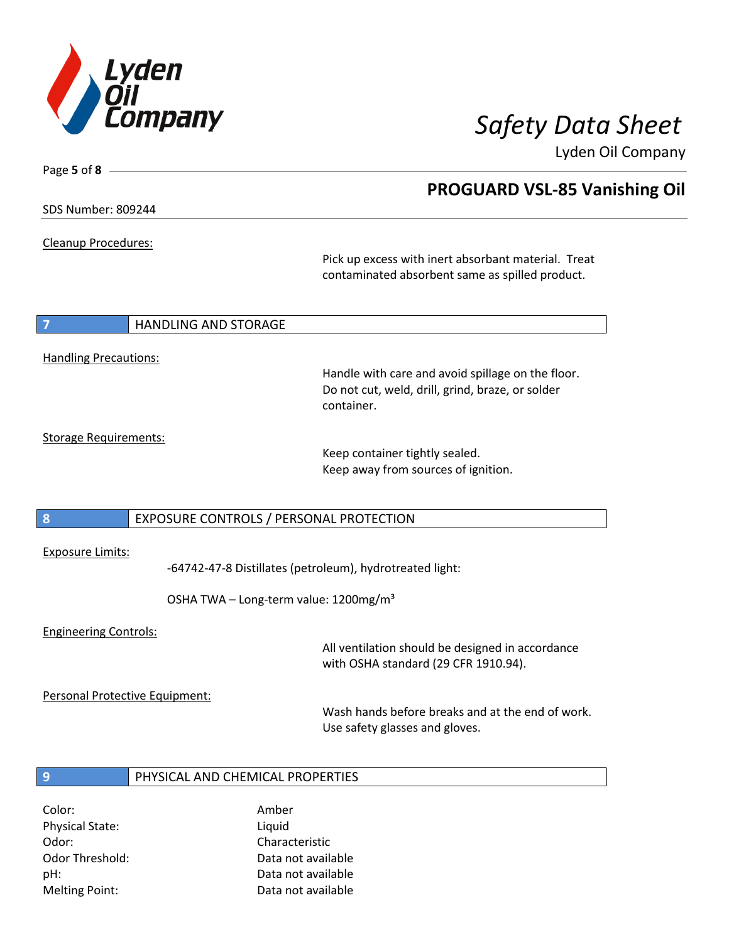

**PROGUARD VSL-85 Vanishing Oil**

Lyden Oil Company

SDS Number: 809244

Page **5** of **8**

Cleanup Procedures:

Pick up excess with inert absorbant material. Treat contaminated absorbent same as spilled product.

#### **7 HANDLING AND STORAGE**

### Handling Precautions:

Handle with care and avoid spillage on the floor. Do not cut, weld, drill, grind, braze, or solder container.

### Storage Requirements:

Keep container tightly sealed. Keep away from sources of ignition.

### **8** EXPOSURE CONTROLS / PERSONAL PROTECTION

#### Exposure Limits:

-64742-47-8 Distillates (petroleum), hydrotreated light:

OSHA TWA - Long-term value: 1200mg/m<sup>3</sup>

#### Engineering Controls:

All ventilation should be designed in accordance with OSHA standard (29 CFR 1910.94).

Personal Protective Equipment:

Wash hands before breaks and at the end of work. Use safety glasses and gloves.

### **9** PHYSICAL AND CHEMICAL PROPERTIES

Color: Amber Physical State: Liquid Odor: Characteristic Melting Point: Data not available

Odor Threshold: Data not available pH: Data not available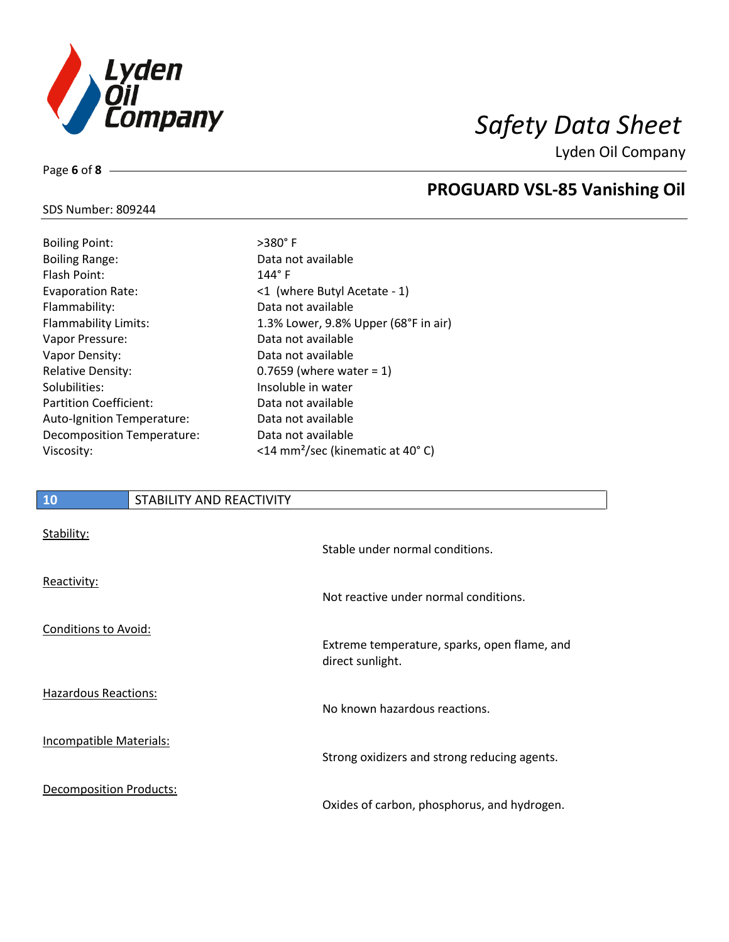

SDS Number: 809244

Page **6** of **8**

# **PROGUARD VSL-85 Vanishing Oil**

| <b>Boiling Point:</b>         | $>380^\circ$ F                               |
|-------------------------------|----------------------------------------------|
| <b>Boiling Range:</b>         | Data not available                           |
| Flash Point:                  | $144^\circ$ F                                |
| <b>Evaporation Rate:</b>      | <1 (where Butyl Acetate - 1)                 |
| Flammability:                 | Data not available                           |
| <b>Flammability Limits:</b>   | 1.3% Lower, 9.8% Upper (68°F in air)         |
| Vapor Pressure:               | Data not available                           |
| Vapor Density:                | Data not available                           |
| <b>Relative Density:</b>      | 0.7659 (where water = $1$ )                  |
| Solubilities:                 | Insoluble in water                           |
| <b>Partition Coefficient:</b> | Data not available                           |
| Auto-Ignition Temperature:    | Data not available                           |
| Decomposition Temperature:    | Data not available                           |
| Viscosity:                    | <14 mm <sup>2</sup> /sec (kinematic at 40°C) |

| 10                             | STABILITY AND REACTIVITY |                                                                  |
|--------------------------------|--------------------------|------------------------------------------------------------------|
| Stability:                     |                          | Stable under normal conditions.                                  |
| Reactivity:                    |                          | Not reactive under normal conditions.                            |
| Conditions to Avoid:           |                          | Extreme temperature, sparks, open flame, and<br>direct sunlight. |
| <b>Hazardous Reactions:</b>    |                          | No known hazardous reactions.                                    |
| <b>Incompatible Materials:</b> |                          | Strong oxidizers and strong reducing agents.                     |

Decomposition Products:

Oxides of carbon, phosphorus, and hydrogen.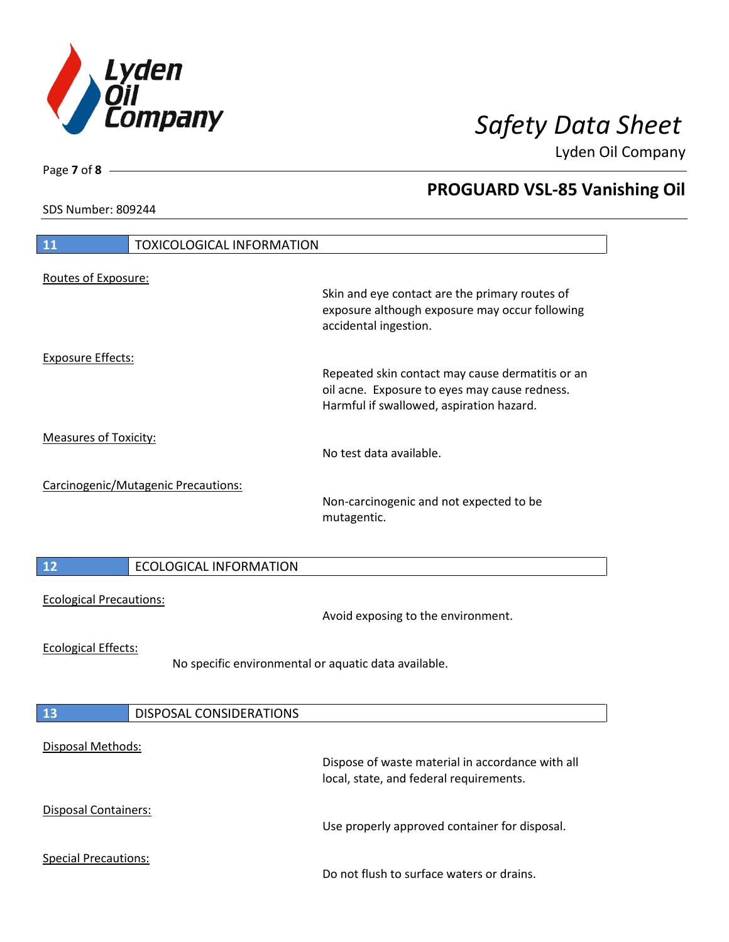

**PROGUARD VSL-85 Vanishing Oil**

Lyden Oil Company

SDS Number: 809244

Page **7** of **8**

# **11** TOXICOLOGICAL INFORMATION Routes of Exposure: Skin and eye contact are the primary routes of exposure although exposure may occur following accidental ingestion. Exposure Effects: Repeated skin contact may cause dermatitis or an oil acne. Exposure to eyes may cause redness. Harmful if swallowed, aspiration hazard. Measures of Toxicity: No test data available. Carcinogenic/Mutagenic Precautions: Non-carcinogenic and not expected to be mutagentic. **12** ECOLOGICAL INFORMATION Ecological Precautions: Avoid exposing to the environment. Ecological Effects: No specific environmental or aquatic data available. **13** DISPOSAL CONSIDERATIONS Disposal Methods: Dispose of waste material in accordance with all local, state, and federal requirements. Disposal Containers: Use properly approved container for disposal. Special Precautions: Do not flush to surface waters or drains.